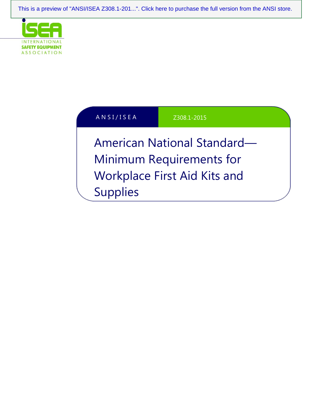[This is a preview of "ANSI/ISEA Z308.1-201...". Click here to purchase the full version from the ANSI store.](https://webstore.ansi.org/Standards/ISEA/ANSIISEAZ3082015?source=preview)



A N S I / I S E A Z308.1-2015

American National Standard— Minimum Requirements for Workplace First Aid Kits and Supplies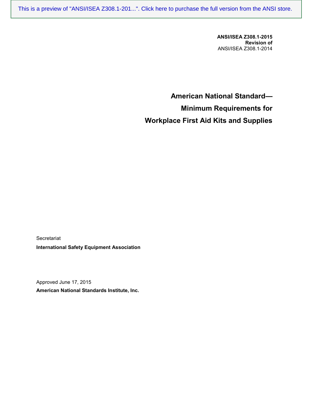[This is a preview of "ANSI/ISEA Z308.1-201...". Click here to purchase the full version from the ANSI store.](https://webstore.ansi.org/Standards/ISEA/ANSIISEAZ3082015?source=preview)

**ANSI/ISEA Z308.1-2015 Revision of**  ANSI/ISEA Z308.1-2014

**American National Standard— Minimum Requirements for Workplace First Aid Kits and Supplies**

**Secretariat International Safety Equipment Association**

Approved June 17, 2015 **American National Standards Institute, Inc.**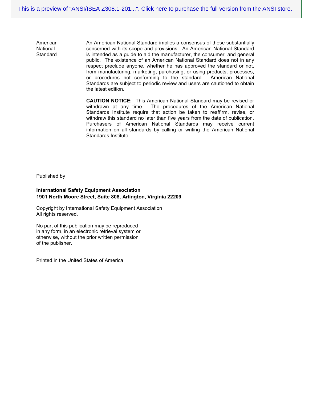An American National Standard implies a consensus of those substantially concerned with its scope and provisions. An American National Standard is intended as a guide to aid the manufacturer, the consumer, and general public. The existence of an American National Standard does not in any respect preclude anyone, whether he has approved the standard or not, from manufacturing, marketing, purchasing, or using products, processes, or procedures not conforming to the standard. American National Standards are subject to periodic review and users are cautioned to obtain the latest edition.

**CAUTION NOTICE:** This American National Standard may be revised or withdrawn at any time. The procedures of the American National Standards Institute require that action be taken to reaffirm, revise, or withdraw this standard no later than five years from the date of publication. Purchasers of American National Standards may receive current information on all standards by calling or writing the American National Standards Institute.

Published by

American National Standard

#### **International Safety Equipment Association 1901 North Moore Street, Suite 808, Arlington, Virginia 22209**

Copyright by International Safety Equipment Association All rights reserved.

No part of this publication may be reproduced in any form, in an electronic retrieval system or otherwise, without the prior written permission of the publisher.

Printed in the United States of America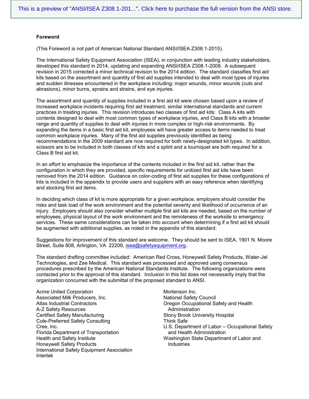#### **Foreword**

(This Foreword is not part of American National Standard ANSI/ISEA Z308.1-2015).

The International Safety Equipment Association (ISEA), in conjunction with leading industry stakeholders, developed this standard in 2014, updating and expanding ANSI/ISEA Z308.1-2009. A subsequent revision in 2015 corrected a minor technical revision to the 2014 edition. The standard classifies first aid kits based on the assortment and quantity of first aid supplies intended to deal with most types of injuries and sudden illnesses encountered in the workplace including: major wounds, minor wounds (cuts and abrasions), minor burns, sprains and strains, and eye injuries.

The assortment and quantity of supplies included in a first aid kit were chosen based upon a review of increased workplace incidents requiring first aid treatment, similar international standards and current practices in treating injuries. This revision introduces two classes of first aid kits: Class A kits with contents designed to deal with most common types of workplace injuries, and Class B kits with a broader range and quantity of supplies to deal with injuries in more complex or high-risk environments. By expanding the items in a basic first aid kit, employees will have greater access to items needed to treat common workplace injuries. Many of the first aid supplies previously identified as being recommendations in the 2009 standard are now required for both newly-designated kit types. In addition, scissors are to be included in both classes of kits and a splint and a tourniquet are both required for a Class B first aid kit.

In an effort to emphasize the importance of the contents included in the first aid kit, rather than the configuration in which they are provided, specific requirements for unitized first aid kits have been removed from the 2014 edition. Guidance on color-coding of first aid supplies for these configurations of kits is included in the appendix to provide users and suppliers with an easy reference when identifying and stocking first aid items.

In deciding which class of kit is more appropriate for a given workplace, employers should consider the risks and task load of the work environment and the potential severity and likelihood of occurrence of an injury. Employers should also consider whether multiple first aid kits are needed, based on the number of employees, physical layout of the work environment and the remoteness of the worksite to emergency services. These same considerations can be taken into account when determining if a first aid kit should be augmented with additional supplies, as noted in the appendix of this standard.

Suggestions for improvement of this standard are welcome. They should be sent to ISEA, 1901 N. Moore Street, Suite 808, Arlington, VA 22209, [isea@safetyequipment.org.](mailto:isea@safetyequipment.org)

The standard drafting committee included: American Red Cross, Honeywell Safety Products, Water-Jel Technologies, and Zee Medical. This standard was processed and approved using consensus procedures prescribed by the American National Standards Institute. The following organizations were contacted prior to the approval of this standard. Inclusion in this list does not necessarily imply that the organization concurred with the submittal of the proposed standard to ANSI.

Acme United Corporation Associated Milk Producers, Inc. Atlas Industrial Contractors A-Z Safety Resources Certified Safety Manufacturing Cole-Preferred Safety Consulting Cree, Inc. Florida Department of Transportation Health and Safety Institute Honeywell Safety Products International Safety Equipment Association Intertek

Mortenson Inc. National Safety Council Oregon Occupational Safety and Health Administration Stony Brook University Hospital Think Safe U.S. Department of Labor – Occupational Safety and Health Administration Washington State Department of Labor and Industries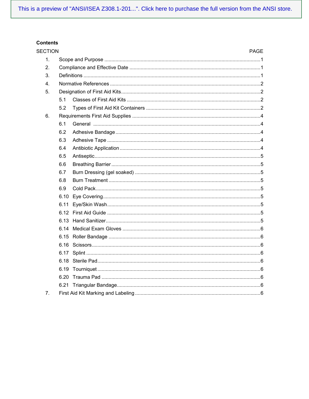# **Contents**

| <b>SECTION</b> |      |  | <b>PAGE</b> |
|----------------|------|--|-------------|
| 1.             |      |  |             |
| 2.             |      |  |             |
| 3.             |      |  |             |
| 4.             |      |  |             |
| 5.             |      |  |             |
|                | 5.1  |  |             |
|                | 5.2  |  |             |
| 6.             |      |  |             |
|                | 6.1  |  |             |
|                | 6.2  |  |             |
|                | 6.3  |  |             |
|                | 6.4  |  |             |
|                | 6.5  |  |             |
|                | 6.6  |  |             |
|                | 6.7  |  |             |
|                | 6.8  |  |             |
|                | 6.9  |  |             |
|                |      |  |             |
|                |      |  |             |
|                |      |  |             |
|                |      |  |             |
|                |      |  |             |
|                |      |  |             |
|                |      |  |             |
|                | 6.17 |  |             |
|                |      |  |             |
|                | 6.19 |  |             |
|                | 6.20 |  |             |
|                | 6.21 |  |             |
| 7 <sub>1</sub> |      |  |             |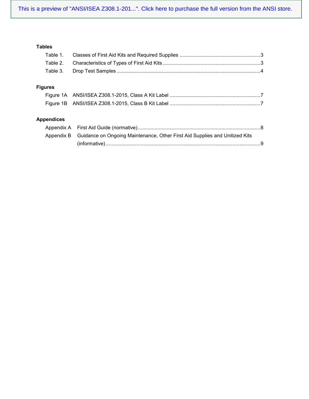## **Tables**

| Table 1.          |                                                                             |  |
|-------------------|-----------------------------------------------------------------------------|--|
| Table 2.          |                                                                             |  |
| Table 3.          |                                                                             |  |
| <b>Figures</b>    |                                                                             |  |
|                   |                                                                             |  |
|                   |                                                                             |  |
| <b>Appendices</b> |                                                                             |  |
|                   |                                                                             |  |
| Appendix B        | Guidance on Ongoing Maintenance, Other First Aid Supplies and Unitized Kits |  |
|                   | $(informative) \dots 19$                                                    |  |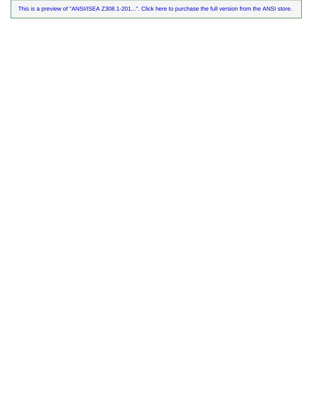[This is a preview of "ANSI/ISEA Z308.1-201...". Click here to purchase the full version from the ANSI store.](https://webstore.ansi.org/Standards/ISEA/ANSIISEAZ3082015?source=preview)